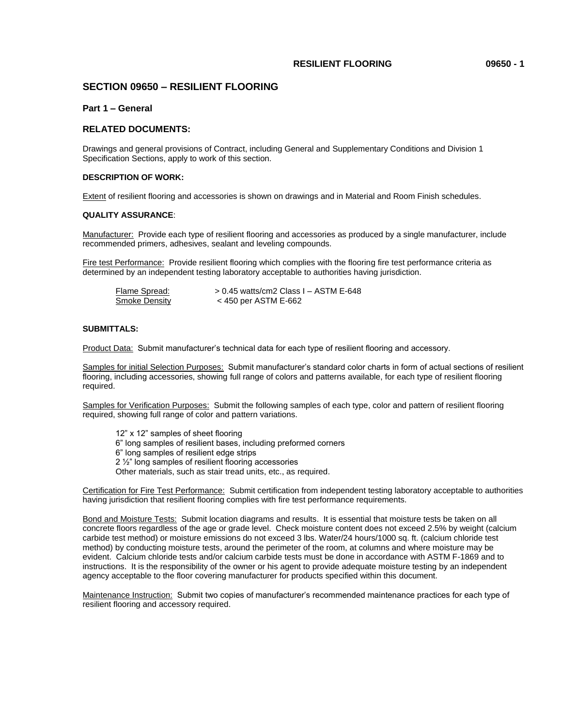## **RESILIENT FLOORING 09650 - 1**

## **SECTION 09650 – RESILIENT FLOORING**

## **Part 1 – General**

## **RELATED DOCUMENTS:**

Drawings and general provisions of Contract, including General and Supplementary Conditions and Division 1 Specification Sections, apply to work of this section.

## **DESCRIPTION OF WORK:**

Extent of resilient flooring and accessories is shown on drawings and in Material and Room Finish schedules.

#### **QUALITY ASSURANCE**:

Manufacturer: Provide each type of resilient flooring and accessories as produced by a single manufacturer, include recommended primers, adhesives, sealant and leveling compounds.

Fire test Performance: Provide resilient flooring which complies with the flooring fire test performance criteria as determined by an independent testing laboratory acceptable to authorities having jurisdiction.

| Flame Spread: | $> 0.45$ watts/cm2 Class I – ASTM E-648 |
|---------------|-----------------------------------------|
| Smoke Density | < 450 per ASTM E-662                    |

#### **SUBMITTALS:**

Product Data: Submit manufacturer's technical data for each type of resilient flooring and accessory.

Samples for initial Selection Purposes: Submit manufacturer's standard color charts in form of actual sections of resilient flooring, including accessories, showing full range of colors and patterns available, for each type of resilient flooring required.

Samples for Verification Purposes: Submit the following samples of each type, color and pattern of resilient flooring required, showing full range of color and pattern variations.

12" x 12" samples of sheet flooring 6" long samples of resilient bases, including preformed corners 6" long samples of resilient edge strips 2 1/<sub>2</sub>" long samples of resilient flooring accessories Other materials, such as stair tread units, etc., as required.

Certification for Fire Test Performance: Submit certification from independent testing laboratory acceptable to authorities having jurisdiction that resilient flooring complies with fire test performance requirements.

Bond and Moisture Tests: Submit location diagrams and results. It is essential that moisture tests be taken on all concrete floors regardless of the age or grade level. Check moisture content does not exceed 2.5% by weight (calcium carbide test method) or moisture emissions do not exceed 3 lbs. Water/24 hours/1000 sq. ft. (calcium chloride test method) by conducting moisture tests, around the perimeter of the room, at columns and where moisture may be evident. Calcium chloride tests and/or calcium carbide tests must be done in accordance with ASTM F-1869 and to instructions. It is the responsibility of the owner or his agent to provide adequate moisture testing by an independent agency acceptable to the floor covering manufacturer for products specified within this document.

Maintenance Instruction: Submit two copies of manufacturer's recommended maintenance practices for each type of resilient flooring and accessory required.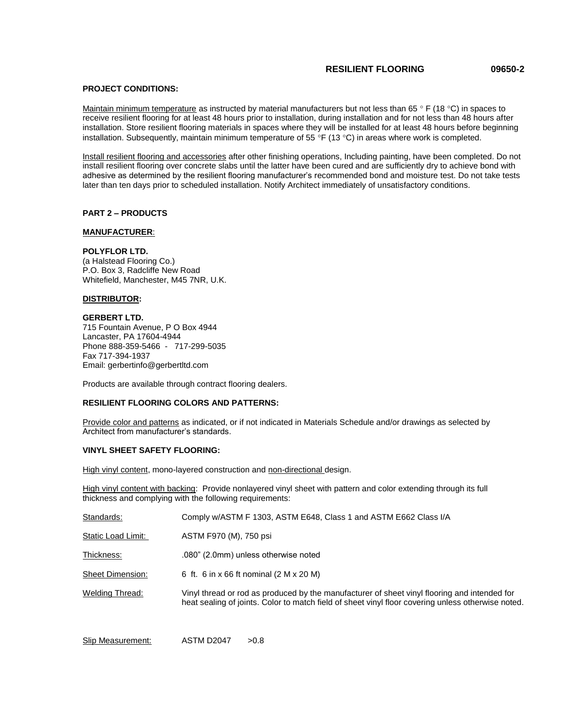## **RESILIENT FLOORING 09650-2**

## **PROJECT CONDITIONS:**

Maintain minimum temperature as instructed by material manufacturers but not less than 65  $\degree$  F (18  $\degree$ C) in spaces to receive resilient flooring for at least 48 hours prior to installation, during installation and for not less than 48 hours after installation. Store resilient flooring materials in spaces where they will be installed for at least 48 hours before beginning installation. Subsequently, maintain minimum temperature of 55 °F (13 °C) in areas where work is completed.

Install resilient flooring and accessories after other finishing operations, Including painting, have been completed. Do not install resilient flooring over concrete slabs until the latter have been cured and are sufficiently dry to achieve bond with adhesive as determined by the resilient flooring manufacturer's recommended bond and moisture test. Do not take tests later than ten days prior to scheduled installation. Notify Architect immediately of unsatisfactory conditions.

#### **PART 2 – PRODUCTS**

#### **MANUFACTURER**:

#### **POLYFLOR LTD.**

(a Halstead Flooring Co.) P.O. Box 3, Radcliffe New Road Whitefield, Manchester, M45 7NR, U.K.

### **DISTRIBUTOR:**

## **GERBERT LTD.**

715 Fountain Avenue, P O Box 4944 Lancaster, PA 17604-4944 Phone 888-359-5466 - 717-299-5035 Fax 717-394-1937 Email: gerbertinfo@gerbertltd.com

Products are available through contract flooring dealers.

## **RESILIENT FLOORING COLORS AND PATTERNS:**

Provide color and patterns as indicated, or if not indicated in Materials Schedule and/or drawings as selected by Architect from manufacturer's standards.

#### **VINYL SHEET SAFETY FLOORING:**

High vinyl content, mono-layered construction and non-directional design.

High vinyl content with backing: Provide nonlayered vinyl sheet with pattern and color extending through its full thickness and complying with the following requirements:

| Standards:              | Comply w/ASTM F 1303, ASTM E648, Class 1 and ASTM E662 Class I/A                                                                                                                                   |
|-------------------------|----------------------------------------------------------------------------------------------------------------------------------------------------------------------------------------------------|
| Static Load Limit:      | ASTM F970 (M), 750 psi                                                                                                                                                                             |
| Thickness:              | .080" (2.0mm) unless otherwise noted                                                                                                                                                               |
| <b>Sheet Dimension:</b> | 6 ft. 6 in x 66 ft nominal (2 M x 20 M)                                                                                                                                                            |
| Welding Thread:         | Vinyl thread or rod as produced by the manufacturer of sheet vinyl flooring and intended for<br>heat sealing of joints. Color to match field of sheet vinyl floor covering unless otherwise noted. |

Slip Measurement: ASTM D2047 > 0.8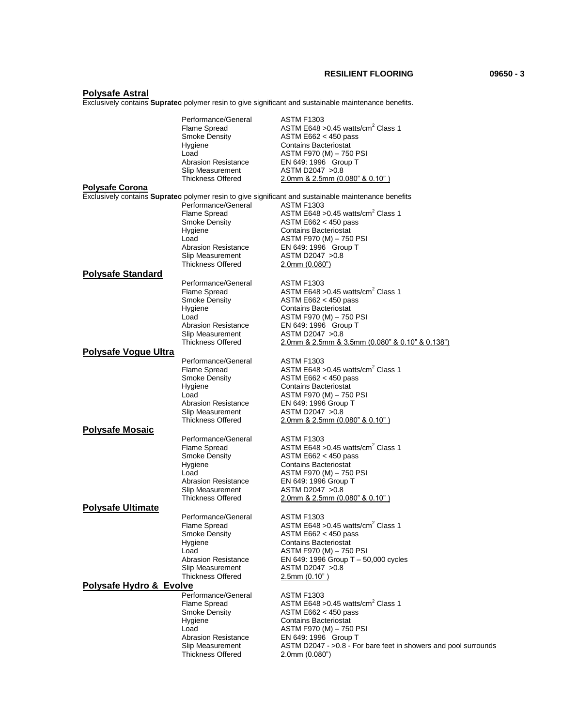**RESILIENT FLOORING 09650 - 3**

#### **Polysafe Astral**

Exclusively contains **Supratec** polymer resin to give significant and sustainable maintenance benefits.

|                             | Performance/General                          | <b>ASTM F1303</b>                                                                                    |
|-----------------------------|----------------------------------------------|------------------------------------------------------------------------------------------------------|
|                             | Flame Spread                                 | ASTM E648 > 0.45 watts/cm <sup>2</sup> Class 1                                                       |
|                             | Smoke Density                                | ASTM $E662 < 450$ pass                                                                               |
|                             | Hygiene                                      | <b>Contains Bacteriostat</b>                                                                         |
|                             | Load                                         | ASTM F970 (M) - 750 PSI                                                                              |
|                             | <b>Abrasion Resistance</b>                   | EN 649: 1996 Group T                                                                                 |
|                             | Slip Measurement                             | ASTM D2047 > 0.8                                                                                     |
|                             | <b>Thickness Offered</b>                     | 2.0mm & 2.5mm (0.080" & 0.10")                                                                       |
| <b>Polysafe Corona</b>      |                                              |                                                                                                      |
|                             |                                              | Exclusively contains Supratec polymer resin to give significant and sustainable maintenance benefits |
|                             | Performance/General                          | <b>ASTM F1303</b>                                                                                    |
|                             | Flame Spread                                 | ASTM E648 > 0.45 watts/cm <sup>2</sup> Class 1                                                       |
|                             | Smoke Density                                | ASTM $E662 < 450$ pass                                                                               |
|                             |                                              | <b>Contains Bacteriostat</b>                                                                         |
|                             | Hygiene<br>Load                              |                                                                                                      |
|                             | <b>Abrasion Resistance</b>                   | ASTM F970 (M) - 750 PSI<br>EN 649: 1996 Group T                                                      |
|                             |                                              |                                                                                                      |
|                             | Slip Measurement<br><b>Thickness Offered</b> | ASTM D2047 > 0.8                                                                                     |
|                             |                                              | $2.0$ mm $(0.080")$                                                                                  |
| <b>Polysafe Standard</b>    |                                              |                                                                                                      |
|                             | Performance/General                          | <b>ASTM F1303</b>                                                                                    |
|                             | Flame Spread                                 | ASTM E648 $>0.45$ watts/cm <sup>2</sup> Class 1                                                      |
|                             | <b>Smoke Density</b>                         | ASTM $E662 < 450$ pass                                                                               |
|                             | Hygiene                                      | <b>Contains Bacteriostat</b>                                                                         |
|                             | Load                                         | ASTM F970 (M) - 750 PSI                                                                              |
|                             | <b>Abrasion Resistance</b>                   | EN 649: 1996 Group T                                                                                 |
|                             | Slip Measurement                             | ASTM D2047 > 0.8                                                                                     |
|                             | <b>Thickness Offered</b>                     | 2.0mm & 2.5mm & 3.5mm (0.080" & 0.10" & 0.138")                                                      |
| <b>Polysafe Vogue Ultra</b> |                                              |                                                                                                      |
|                             | Performance/General                          | <b>ASTM F1303</b>                                                                                    |
|                             | Flame Spread                                 | ASTM E648 > 0.45 watts/cm <sup>2</sup> Class 1                                                       |
|                             | <b>Smoke Density</b>                         | ASTM $E662 < 450$ pass                                                                               |
|                             | Hygiene                                      | <b>Contains Bacteriostat</b>                                                                         |
|                             | Load                                         | ASTM F970 (M) - 750 PSI                                                                              |
|                             | <b>Abrasion Resistance</b>                   | EN 649: 1996 Group T                                                                                 |
|                             | Slip Measurement                             | ASTM D2047 > 0.8                                                                                     |
|                             | <b>Thickness Offered</b>                     | $2.0$ mm & $2.5$ mm (0.080" & 0.10")                                                                 |
| <b>Polysafe Mosaic</b>      |                                              |                                                                                                      |
|                             | Performance/General                          | <b>ASTM F1303</b>                                                                                    |
|                             | Flame Spread                                 | ASTM E648 > 0.45 watts/cm <sup>2</sup> Class 1                                                       |
|                             | Smoke Density                                | ASTM $E662 < 450$ pass                                                                               |
|                             | Hygiene                                      | <b>Contains Bacteriostat</b>                                                                         |
|                             | Load                                         | ASTM F970 (M) - 750 PSI                                                                              |
|                             | <b>Abrasion Resistance</b>                   | EN 649: 1996 Group T                                                                                 |
|                             | Slip Measurement                             | ASTM D2047 > 0.8                                                                                     |
|                             | <b>Thickness Offered</b>                     | $2.0$ mm & $2.5$ mm (0.080" & 0.10")                                                                 |
| <b>Polysafe Ultimate</b>    |                                              |                                                                                                      |
|                             | Performance/General                          | <b>ASTM F1303</b>                                                                                    |
|                             | Flame Spread                                 | ASTM E648 $>0.45$ watts/cm <sup>2</sup> Class 1                                                      |
|                             | Smoke Density                                | ASTM E662 < 450 pass                                                                                 |
|                             | Hygiene                                      | <b>Contains Bacteriostat</b>                                                                         |
|                             | Load                                         | ASTM F970 (M) - 750 PSI                                                                              |
|                             | <b>Abrasion Resistance</b>                   | EN 649: 1996 Group $T - 50,000$ cycles                                                               |
|                             | Slip Measurement                             | ASTM D2047 > 0.8                                                                                     |
|                             | <b>Thickness Offered</b>                     | $2.5$ mm $(0.10)$                                                                                    |
| Polysafe Hydro & Evolve     |                                              |                                                                                                      |
|                             | Performance/General                          | <b>ASTM F1303</b>                                                                                    |
|                             | Flame Spread                                 | ASTM E648 > 0.45 watts/cm <sup>2</sup> Class 1                                                       |
|                             | Smoke Density                                | ASTM E662 < 450 pass                                                                                 |
|                             | Hygiene                                      | <b>Contains Bacteriostat</b>                                                                         |
|                             | Load                                         | ASTM F970 (M) - 750 PSI                                                                              |
|                             | <b>Abrasion Resistance</b>                   | EN 649: 1996 Group T                                                                                 |
|                             | Slip Measurement                             | ASTM D2047 - > 0.8 - For bare feet in showers and pool surrounds                                     |
|                             | <b>Thickness Offered</b>                     | $2.0$ mm $(0.080")$                                                                                  |
|                             |                                              |                                                                                                      |
|                             |                                              |                                                                                                      |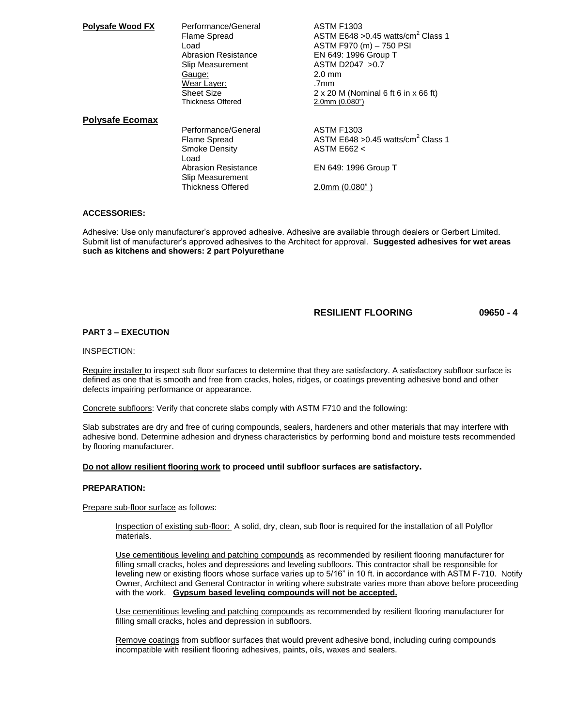| <b>Polysafe Wood FX</b> | Performance/General                            | <b>ASTM F1303</b>                                  |
|-------------------------|------------------------------------------------|----------------------------------------------------|
|                         | Flame Spread                                   | ASTM E648 > 0.45 watts/cm <sup>2</sup> Class 1     |
|                         | Load.                                          | ASTM F970 (m) - 750 PSI                            |
|                         | <b>Abrasion Resistance</b>                     | EN 649: 1996 Group T                               |
|                         | Slip Measurement                               | ASTM D2047 > 0.7                                   |
|                         | Gauge:                                         | $2.0 \text{ mm}$                                   |
|                         | Wear Layer:                                    | .7mm                                               |
|                         | Sheet Size                                     | $2 \times 20$ M (Nominal 6 ft 6 in $\times$ 66 ft) |
|                         | <b>Thickness Offered</b>                       | $2.0$ mm $(0.080")$                                |
| <b>Polysafe Ecomax</b>  |                                                |                                                    |
|                         | Performance/General                            | <b>ASTM F1303</b>                                  |
|                         | Flame Spread                                   | ASTM E648 > 0.45 watts/cm <sup>2</sup> Class 1     |
|                         | <b>Smoke Density</b><br>Load                   | ASTM E662 <                                        |
|                         | <b>Abrasion Resistance</b><br>Slip Measurement | EN 649: 1996 Group T                               |
|                         | <b>Thickness Offered</b>                       | 2.0mm (0.080")                                     |

## **ACCESSORIES:**

Adhesive: Use only manufacturer's approved adhesive. Adhesive are available through dealers or Gerbert Limited. Submit list of manufacturer's approved adhesives to the Architect for approval. **Suggested adhesives for wet areas such as kitchens and showers: 2 part Polyurethane**

## **RESILIENT FLOORING 09650 - 4**

### **PART 3 – EXECUTION**

#### INSPECTION:

Require installer to inspect sub floor surfaces to determine that they are satisfactory. A satisfactory subfloor surface is defined as one that is smooth and free from cracks, holes, ridges, or coatings preventing adhesive bond and other defects impairing performance or appearance.

Concrete subfloors: Verify that concrete slabs comply with ASTM F710 and the following:

Slab substrates are dry and free of curing compounds, sealers, hardeners and other materials that may interfere with adhesive bond. Determine adhesion and dryness characteristics by performing bond and moisture tests recommended by flooring manufacturer.

#### **Do not allow resilient flooring work to proceed until subfloor surfaces are satisfactory.**

#### **PREPARATION:**

Prepare sub-floor surface as follows:

Inspection of existing sub-floor: A solid, dry, clean, sub floor is required for the installation of all Polyflor materials.

Use cementitious leveling and patching compounds as recommended by resilient flooring manufacturer for filling small cracks, holes and depressions and leveling subfloors. This contractor shall be responsible for leveling new or existing floors whose surface varies up to 5/16" in 10 ft. in accordance with ASTM F-710. Notify Owner, Architect and General Contractor in writing where substrate varies more than above before proceeding with the work. **Gypsum based leveling compounds will not be accepted.**

Use cementitious leveling and patching compounds as recommended by resilient flooring manufacturer for filling small cracks, holes and depression in subfloors.

Remove coatings from subfloor surfaces that would prevent adhesive bond, including curing compounds incompatible with resilient flooring adhesives, paints, oils, waxes and sealers.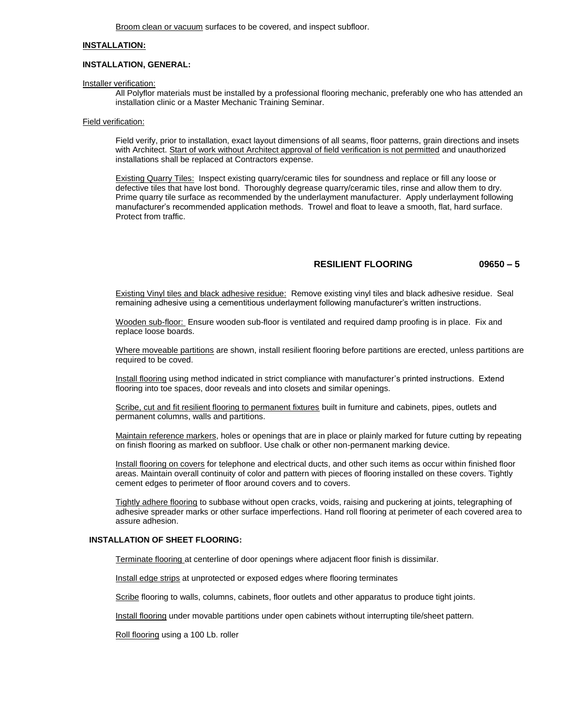Broom clean or vacuum surfaces to be covered, and inspect subfloor.

## **INSTALLATION:**

#### **INSTALLATION, GENERAL:**

Installer verification:

All Polyflor materials must be installed by a professional flooring mechanic, preferably one who has attended an installation clinic or a Master Mechanic Training Seminar.

#### Field verification:

Field verify, prior to installation, exact layout dimensions of all seams, floor patterns, grain directions and insets with Architect. Start of work without Architect approval of field verification is not permitted and unauthorized installations shall be replaced at Contractors expense.

Existing Quarry Tiles: Inspect existing quarry/ceramic tiles for soundness and replace or fill any loose or defective tiles that have lost bond. Thoroughly degrease quarry/ceramic tiles, rinse and allow them to dry. Prime quarry tile surface as recommended by the underlayment manufacturer. Apply underlayment following manufacturer's recommended application methods. Trowel and float to leave a smooth, flat, hard surface. Protect from traffic.

## **RESILIENT FLOORING 09650 – 5**

Existing Vinyl tiles and black adhesive residue: Remove existing vinyl tiles and black adhesive residue. Seal remaining adhesive using a cementitious underlayment following manufacturer's written instructions.

Wooden sub-floor: Ensure wooden sub-floor is ventilated and required damp proofing is in place. Fix and replace loose boards.

Where moveable partitions are shown, install resilient flooring before partitions are erected, unless partitions are required to be coved.

Install flooring using method indicated in strict compliance with manufacturer's printed instructions. Extend flooring into toe spaces, door reveals and into closets and similar openings.

Scribe, cut and fit resilient flooring to permanent fixtures built in furniture and cabinets, pipes, outlets and permanent columns, walls and partitions.

Maintain reference markers, holes or openings that are in place or plainly marked for future cutting by repeating on finish flooring as marked on subfloor. Use chalk or other non-permanent marking device.

Install flooring on covers for telephone and electrical ducts, and other such items as occur within finished floor areas. Maintain overall continuity of color and pattern with pieces of flooring installed on these covers. Tightly cement edges to perimeter of floor around covers and to covers.

Tightly adhere flooring to subbase without open cracks, voids, raising and puckering at joints, telegraphing of adhesive spreader marks or other surface imperfections. Hand roll flooring at perimeter of each covered area to assure adhesion.

## **INSTALLATION OF SHEET FLOORING:**

Terminate flooring at centerline of door openings where adjacent floor finish is dissimilar.

Install edge strips at unprotected or exposed edges where flooring terminates

Scribe flooring to walls, columns, cabinets, floor outlets and other apparatus to produce tight joints.

Install flooring under movable partitions under open cabinets without interrupting tile/sheet pattern.

Roll flooring using a 100 Lb. roller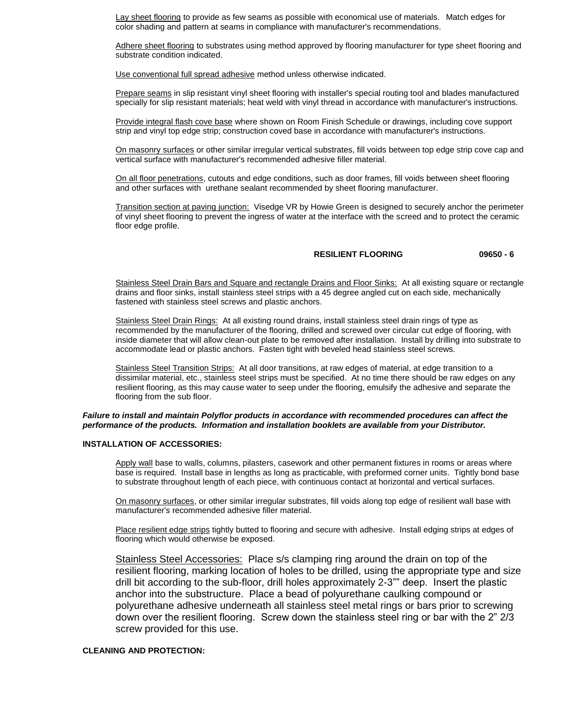Lay sheet flooring to provide as few seams as possible with economical use of materials. Match edges for color shading and pattern at seams in compliance with manufacturer's recommendations.

Adhere sheet flooring to substrates using method approved by flooring manufacturer for type sheet flooring and substrate condition indicated.

Use conventional full spread adhesive method unless otherwise indicated.

Prepare seams in slip resistant vinyl sheet flooring with installer's special routing tool and blades manufactured specially for slip resistant materials; heat weld with vinyl thread in accordance with manufacturer's instructions.

Provide integral flash cove base where shown on Room Finish Schedule or drawings, including cove support strip and vinyl top edge strip; construction coved base in accordance with manufacturer's instructions.

On masonry surfaces or other similar irregular vertical substrates, fill voids between top edge strip cove cap and vertical surface with manufacturer's recommended adhesive filler material.

On all floor penetrations, cutouts and edge conditions, such as door frames, fill voids between sheet flooring and other surfaces with urethane sealant recommended by sheet flooring manufacturer.

Transition section at paving junction: Visedge VR by Howie Green is designed to securely anchor the perimeter of vinyl sheet flooring to prevent the ingress of water at the interface with the screed and to protect the ceramic floor edge profile.

## **RESILIENT FLOORING 09650 - 6**

Stainless Steel Drain Bars and Square and rectangle Drains and Floor Sinks: At all existing square or rectangle drains and floor sinks, install stainless steel strips with a 45 degree angled cut on each side, mechanically fastened with stainless steel screws and plastic anchors.

Stainless Steel Drain Rings: At all existing round drains, install stainless steel drain rings of type as recommended by the manufacturer of the flooring, drilled and screwed over circular cut edge of flooring, with inside diameter that will allow clean-out plate to be removed after installation. Install by drilling into substrate to accommodate lead or plastic anchors. Fasten tight with beveled head stainless steel screws.

Stainless Steel Transition Strips: At all door transitions, at raw edges of material, at edge transition to a dissimilar material, etc., stainless steel strips must be specified. At no time there should be raw edges on any resilient flooring, as this may cause water to seep under the flooring, emulsify the adhesive and separate the flooring from the sub floor.

#### *Failure to install and maintain Polyflor products in accordance with recommended procedures can affect the performance of the products. Information and installation booklets are available from your Distributor.*

## **INSTALLATION OF ACCESSORIES:**

Apply wall base to walls, columns, pilasters, casework and other permanent fixtures in rooms or areas where base is required. Install base in lengths as long as practicable, with preformed corner units. Tightly bond base to substrate throughout length of each piece, with continuous contact at horizontal and vertical surfaces.

On masonry surfaces, or other similar irregular substrates, fill voids along top edge of resilient wall base with manufacturer's recommended adhesive filler material.

Place resilient edge strips tightly butted to flooring and secure with adhesive. Install edging strips at edges of flooring which would otherwise be exposed.

Stainless Steel Accessories: Place s/s clamping ring around the drain on top of the resilient flooring, marking location of holes to be drilled, using the appropriate type and size drill bit according to the sub-floor, drill holes approximately 2-3"" deep. Insert the plastic anchor into the substructure. Place a bead of polyurethane caulking compound or polyurethane adhesive underneath all stainless steel metal rings or bars prior to screwing down over the resilient flooring. Screw down the stainless steel ring or bar with the 2" 2/3 screw provided for this use.

## **CLEANING AND PROTECTION:**